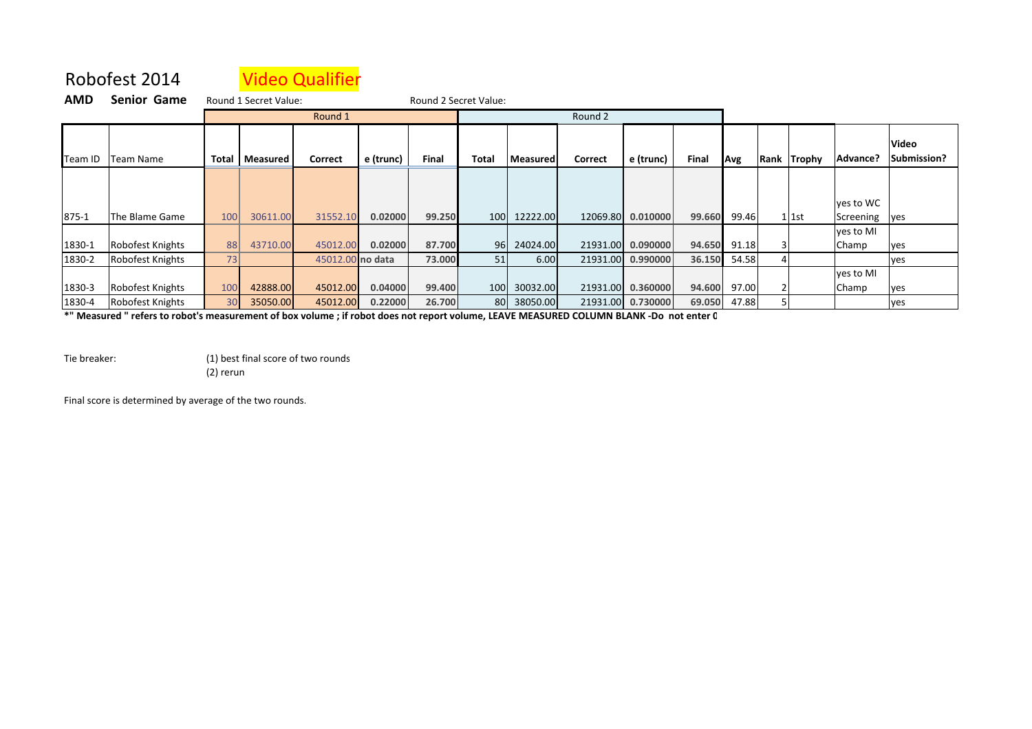## Robofest 2014Video Qualifier

| AMD     | <b>Senior Game</b> | Round 2 Secret Value:<br>Round 1 Secret Value: |                         |                  |           |        |       |                 |          |                   |        |              |  |             |              |                             |
|---------|--------------------|------------------------------------------------|-------------------------|------------------|-----------|--------|-------|-----------------|----------|-------------------|--------|--------------|--|-------------|--------------|-----------------------------|
|         |                    | Round 1                                        |                         |                  |           |        |       | Round 2         |          |                   |        |              |  |             |              |                             |
| Team ID | Team Name          |                                                | <b>Total   Measured</b> | Correct          | e (trunc) | Final  | Total | <b>Measured</b> | Correct  | e (trunc)         | Final  | Avg          |  | Rank Trophy | Advance?     | <b>Video</b><br>Submission? |
|         |                    |                                                |                         |                  |           |        |       |                 |          |                   |        |              |  |             | yes to WC    |                             |
| 875-1   | The Blame Game     | 100                                            | 30611.00                | 31552.10         | 0.02000   | 99.250 | 100   | 12222.00        | 12069.80 | 0.010000          | 99.660 | 99.46        |  | $1$ 1st     | Screening    | <b>ves</b>                  |
|         |                    |                                                |                         |                  |           |        |       |                 |          |                   |        |              |  |             | yes to MI    |                             |
| 1830-1  | Robofest Knights   | 88                                             | 43710.00                | 45012.00         | 0.02000   | 87.700 | 96    | 24024.00        | 21931.00 | 0.090000          | 94.650 | 91.18        |  |             | <b>Champ</b> | yes                         |
| 1830-2  | Robofest Knights   | 73                                             |                         | 45012.00 no data |           | 73.000 | 51    | 6.00            | 21931.00 | 0.990000          | 36.150 | 54.58        |  |             |              | yes                         |
|         |                    |                                                |                         |                  |           |        |       |                 |          |                   |        |              |  |             | yes to MI    |                             |
| 1830-3  | Robofest Knights   | 100                                            | 42888.00                | 45012.00         | 0.04000   | 99.400 | 100   | 30032.00        |          | 21931.00 0.360000 |        | 94.600 97.00 |  |             | Champ        | yes                         |
| 1830-4  | Robofest Knights   | 30 <sup>1</sup>                                | 35050.00                | 45012.00         | 0.22000   | 26.700 |       | 80 38050.00     | 21931.00 | 0.730000          | 69.050 | 47.88        |  |             |              | yes                         |

**\*" Measured " refers to robot's measurement of box volume ; if robot does not report volume, LEAVE MEASURED COLUMN BLANK -Do not enter 0**

Tie breaker: (1) best final score of two rounds(2) rerun

Final score is determined by average of the two rounds.